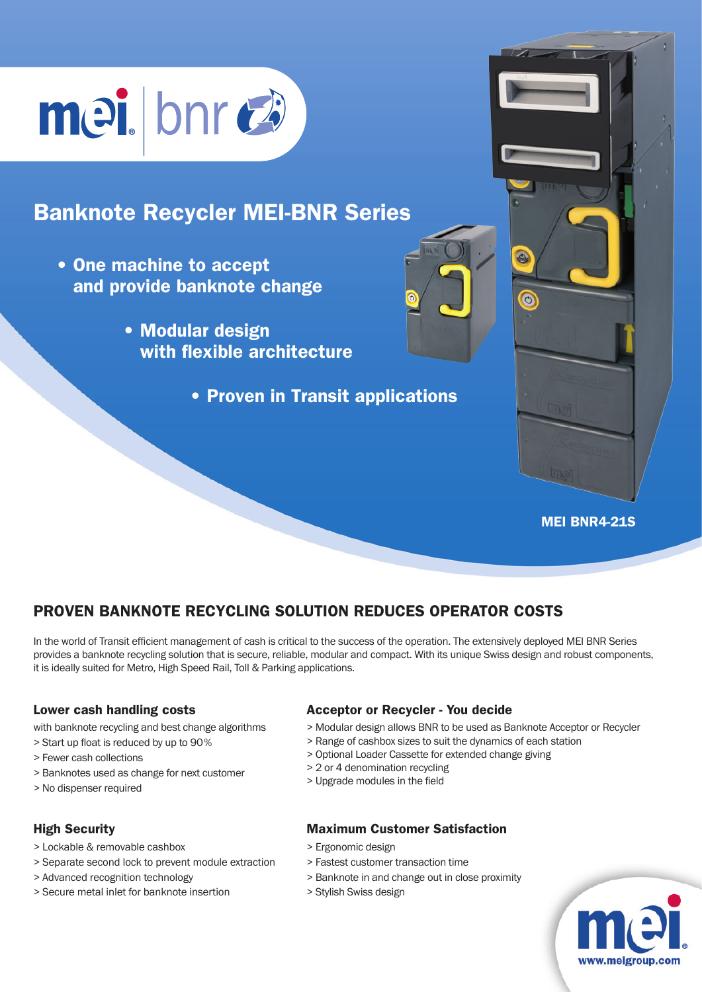# mei bnrea

# Banknote Recycler MEI-BNR Series

- One machine to accept and provide banknote change
	- Modular design with flexible architecture
		- Proven in Transit applications

#### MEI BNR4-21S

 $\odot$ 

## Proven banknote recycling solution reduces operator costs

In the world of Transit efficient management of cash is critical to the success of the operation. The extensively deployed MEI BNR Series provides a banknote recycling solution that is secure, reliable, modular and compact. With its unique Swiss design and robust components, it is ideally suited for Metro, High Speed Rail, Toll & Parking applications.

#### Lower cash handling costs

with banknote recycling and best change algorithms

- > Start up float is reduced by up to 90%
- > Fewer cash collections
- > Banknotes used as change for next customer
- > No dispenser required

#### High Security

- > Lockable & removable cashbox
- > Separate second lock to prevent module extraction
- > Advanced recognition technology
- > Secure metal inlet for banknote insertion

#### Acceptor or Recycler - You decide

- > Modular design allows BNR to be used as Banknote Acceptor or Recycler
- > Range of cashbox sizes to suit the dynamics of each station
- > Optional Loader Cassette for extended change giving
- > 2 or 4 denomination recycling
- > Upgrade modules in the field

#### Maximum Customer Satisfaction

- > Ergonomic design
- > Fastest customer transaction time
- > Banknote in and change out in close proximity
- > Stylish Swiss design